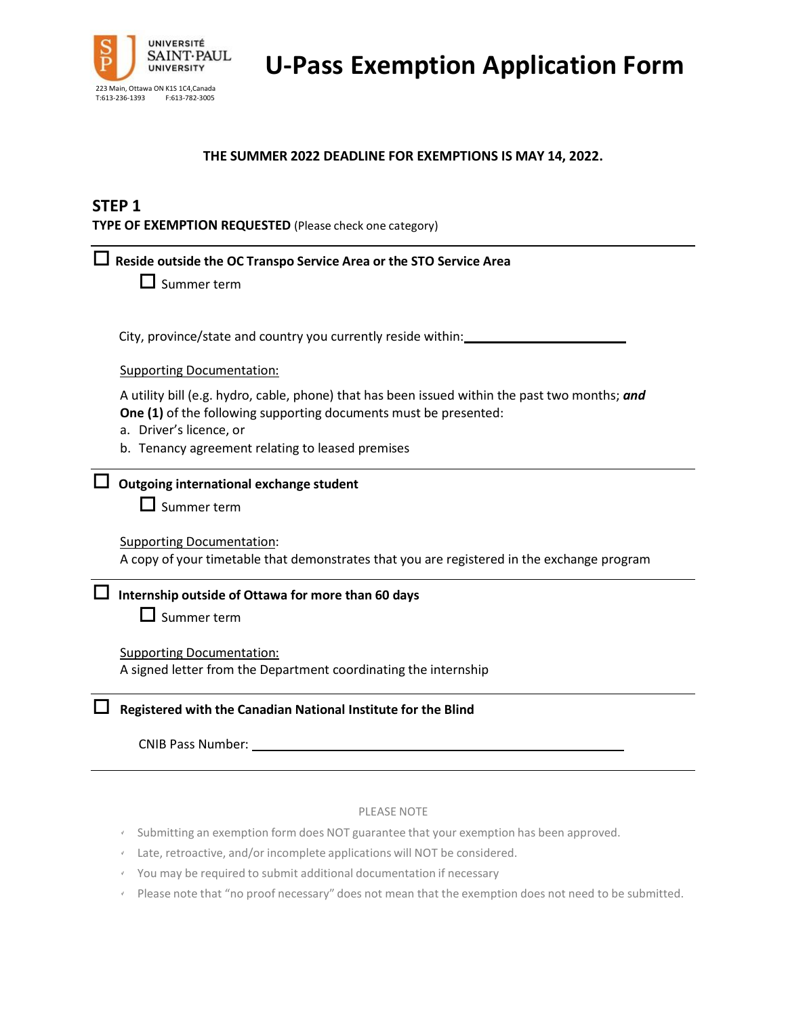

**U-Pass Exemption Application Form**

### **THE SUMMER 2022 DEADLINE FOR EXEMPTIONS IS MAY 14, 2022.**

### **STEP 1**

**TYPE OF EXEMPTION REQUESTED** (Please check one category)

| Reside outside the OC Transpo Service Area or the STO Service Area                                                                                                                            |  |  |  |
|-----------------------------------------------------------------------------------------------------------------------------------------------------------------------------------------------|--|--|--|
| $\Box$ Summer term                                                                                                                                                                            |  |  |  |
|                                                                                                                                                                                               |  |  |  |
| City, province/state and country you currently reside within:                                                                                                                                 |  |  |  |
| <b>Supporting Documentation:</b>                                                                                                                                                              |  |  |  |
| A utility bill (e.g. hydro, cable, phone) that has been issued within the past two months; and<br>One (1) of the following supporting documents must be presented:<br>a. Driver's licence, or |  |  |  |
| b. Tenancy agreement relating to leased premises                                                                                                                                              |  |  |  |
| Outgoing international exchange student<br>$\Box$ Summer term                                                                                                                                 |  |  |  |
| <b>Supporting Documentation:</b><br>A copy of your timetable that demonstrates that you are registered in the exchange program                                                                |  |  |  |
| Internship outside of Ottawa for more than 60 days<br>$\Box$ Summer term                                                                                                                      |  |  |  |
| <b>Supporting Documentation:</b><br>A signed letter from the Department coordinating the internship                                                                                           |  |  |  |
| Registered with the Canadian National Institute for the Blind                                                                                                                                 |  |  |  |
| <b>CNIB Pass Number:</b>                                                                                                                                                                      |  |  |  |

#### PLEASE NOTE

- Submitting an exemption form does NOT guarantee that your exemption has been approved.
- Late, retroactive, and/or incomplete applications will NOT be considered.
- You may be required to submit additional documentation if necessary
- Please note that "no proof necessary" does not mean that the exemption does not need to be submitted.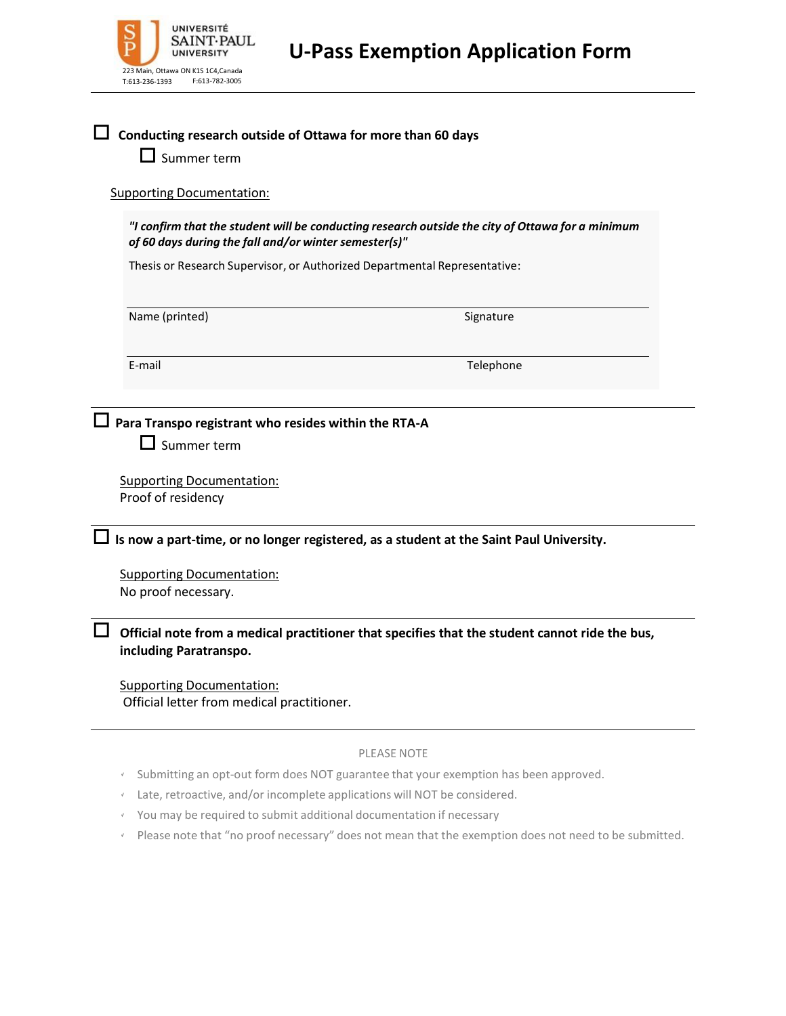| UNIVERSITÉ<br>$_{\rm b}^{\rm S}$<br>SAINT·PAUL<br>UNIVERSITY            | <b>U-Pass Exemption Application Form</b>                                                                                                                                      |
|-------------------------------------------------------------------------|-------------------------------------------------------------------------------------------------------------------------------------------------------------------------------|
| 223 Main, Ottawa ON K1S 1C4, Canada<br>F:613-782-3005<br>T:613-236-1393 |                                                                                                                                                                               |
| Summer term<br><b>Supporting Documentation:</b>                         | Conducting research outside of Ottawa for more than 60 days                                                                                                                   |
| of 60 days during the fall and/or winter semester(s)"                   | "I confirm that the student will be conducting research outside the city of Ottawa for a minimum<br>Thesis or Research Supervisor, or Authorized Departmental Representative: |
| Name (printed)                                                          | Signature                                                                                                                                                                     |

E-mail Telephone

**Para Transpo registrant who resides within the RTA-A**

 $\square$  Summer term

Supporting Documentation: Proof of residency

**Is now <sup>a</sup> part-time, or no longer registered, as a student at the Saint Paul University.**

Supporting Documentation: No proof necessary.

 **Official note from a medical practitioner that specifies that the student cannot ride the bus, including Paratranspo.**

Supporting Documentation: Official letter from medical practitioner.

#### PLEASE NOTE

- Submitting an opt-out form does NOT guarantee that your exemption has been approved.
- Late, retroactive, and/or incomplete applications will NOT be considered.
- You may be required to submit additional documentation if necessary
- Please note that "no proof necessary" does not mean that the exemption does not need to be submitted.